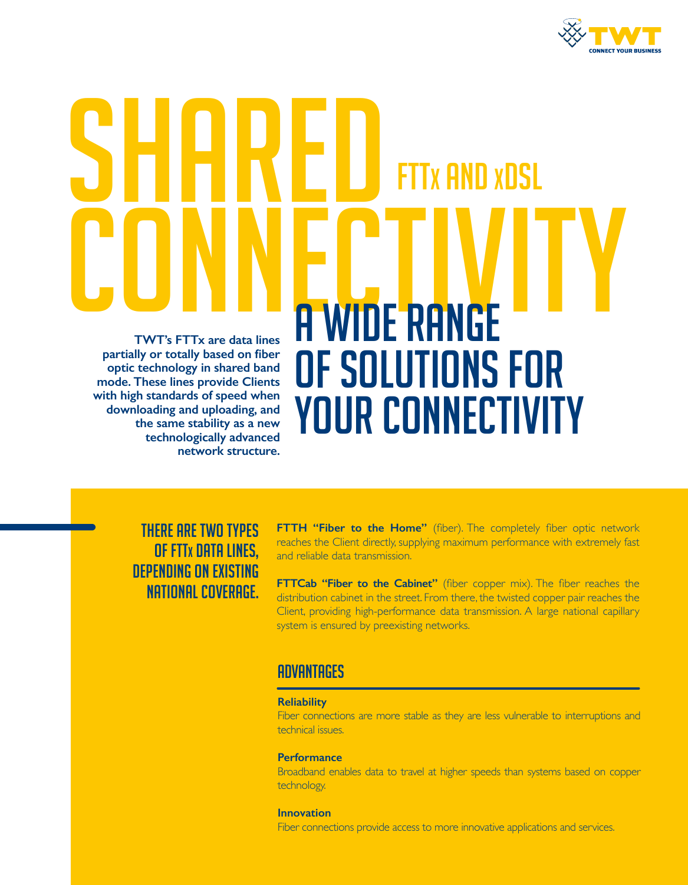

# SHARED CONNECTIVITY **TWT's FTTx are data lines partially or totally based on fiber optic technology in shared band mode. These lines provide Clients with high standards of speed when downloading and uploading, and the same stability as a new technologically advanced network structure.**  A WIDE RANGE OF SOLUTIONS FOR YOUR CONNECTIVITY **FTX AND XDSL**

## THERE ARE TWO TYPES OF FTTx DATA LINES, DEPENDING ON EXISTING NATIONAL COVERAGE.

**FTTH "Fiber to the Home"** (fiber). The completely fiber optic network reaches the Client directly, supplying maximum performance with extremely fast and reliable data transmission.

**FTTCab "Fiber to the Cabinet"** (fiber copper mix). The fiber reaches the distribution cabinet in the street. From there, the twisted copper pair reaches the Client, providing high-performance data transmission. A large national capillary system is ensured by preexisting networks.

## **ADVANTAGES**

#### **Reliability**

Fiber connections are more stable as they are less vulnerable to interruptions and technical issues.

#### **Performance**

Broadband enables data to travel at higher speeds than systems based on copper technology.

**Innovation** Fiber connections provide access to more innovative applications and services.